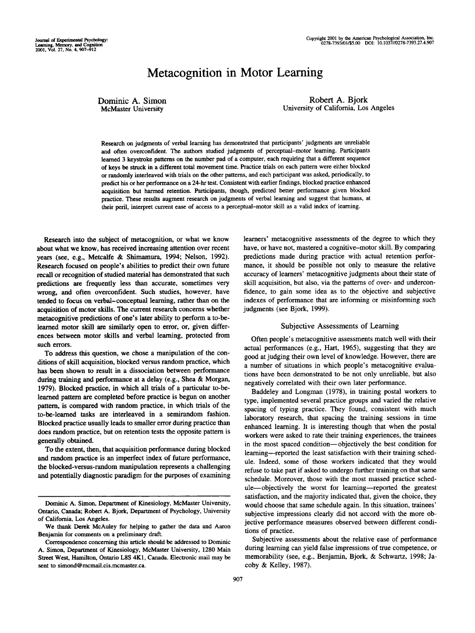# Metacognition in Motor Learning

Dominic A. Simon McMaster University

Robert A. Bjork University of California, Los Angeles

Research on judgments of verbal learning has demonstrated that participants' judgments are unreliable and often overconfident. The authors studied judgments of perceptual~motor learning. Participants learned 3 keystroke patterns on the number pad of a computer, each requiring that a different sequence of keys be struck in a different total movement time. Practice trials on each pattern were either blocked or randomly interleaved with trials on the other patterns, and each participant wasasked, periodically, to predict his or her performance on a 24-hr test. Consistent with earlier findings, blocked practice enhanced acquisition but harmed retention. Participants, though, predicted better performance given blocked practice. These results augment research on judgments of verbal learning and suggest that humans, at their peril, interpret current ease of access to a perceptual-motorskill as a valid index of learning.

Research into the subject of metacognition, or what we know about what we know, has received increasing attention over recent years (see, e.g., Metcalfe & Shimamura, 1994; Nelson, 1992). Research focused on people's abilities to predict their own future recall or recognition of studied material has demonstrated that such predictions are frequently less than accurate, sometimes very wrong, and often overconfident. Such studies, however, have tended to focus on verbal—conceptual learning, rather than on the acquisition of motor skills. The current research concerns whether metacognitive predictions of one's later ability to perform a to-belearned motor skill are similarly open to error, or, given differences between motor skills and verbal learning, protected from such errors. Research on judgments of verbal learning has dend of<br>and offer overconfident. The authors studied judgments of here and 3 key<br>stroke patterns on the number pad of leys be struck in a different total movement time<br>of here

To address this question, we chose a manipulation of the conditions of skill acquisition, blocked versus random practice, which has been shown to result in a dissociation between performance during training and performanceat <sup>a</sup> delay (e.g., Shea & Morgan, 1979). Blocked practice, in which all trials of a particular to-belearned pattern are completed before practice is begun on another pattern, is compared with random practice, in which trials of the to-be-learned tasks are interleaved in a semirandom fashion. Blocked practice usually leads to smaller error during practice than does random practice, but on retention tests the opposite pattern is generally obtained.

To the extent, then, that acquisition performance during blocked and random practice is an imperfect index of future performance, the blocked-versus-random manipulation represents a challenging and potentially diagnostic paradigm for the purposes of examining learners' metacognitive assessments of the degree to which they have, or have not, mastered a cognitive–motor skill. By comparing predictions made during practice with actual retention performance, it should be possible not only to measure the relative accuracy of learners' metacognitive judgments about their state of skill acquisition, but also, via the patterns of over- and underconfidence, to gain some idea as to the objective and subjective indexes of performance that are informing or misinforming such judgments (see Bjork, 1999).

# Subjective Assessments of Learning

Often people's metacognitive assessments match well with their actual performances (e.g., Hart, 1965), suggesting that they are good at judging their own level of knowledge. However, there are a number of situations in which people's metacognitive evaluations have been demonstrated to be not only unreliable, but also negatively correlated with their own later performance.

Baddeley and Longman (1978), in training postal workers to type, implemented several practice groups and varied the relative spacing of typing practice. They found, consistent with much laboratory research, that spacing the training sessions in time enhanced learning. It is interesting though that when the postal workers were asked to rate their training experiences, the trainees in the most spaced condition— objectively the best condition for learning—reported the least satisfaction with their training schedule. Indeed, some of those workers indicated that they would refuse to take part if asked to undergo further training on that same schedule. Moreover, those with the most massed practice schedule—objectively the worst for learning—reported the greatest satisfaction, and the majority indicated that, given the choice, they would choose that same schedule again. In this situation, trainees' subjective impressions clearly did not accord with the more objective performance measures observed between different conditions of practice.

Subjective assessments about the relative ease of performance during learning can yield false impressions of true competence, or memorability (see, e.g., Benjamin, Bjork, & Schwartz, 1998; Jacoby  $&$  Kelley, 1987).

Dominic A. Simon, Department of Kinesiology, McMaster University, Ontario, Canada; Robert A. Bjork, Department of Psychology, University of California, Los Angeles.

We thank Derek McAuley for helping to gather the data and Aaron Benjamin for comments on a preliminary draft.

Correspondence concerning this article should be addressed to Dominic A. Simon, Department of Kinesiology, McMaster University, 1280 Main Street West, Hamilton, Ontario L8S 4K1, Canada. Electronic mail may be sent to simond@mcmail.cis.mcmaster.ca.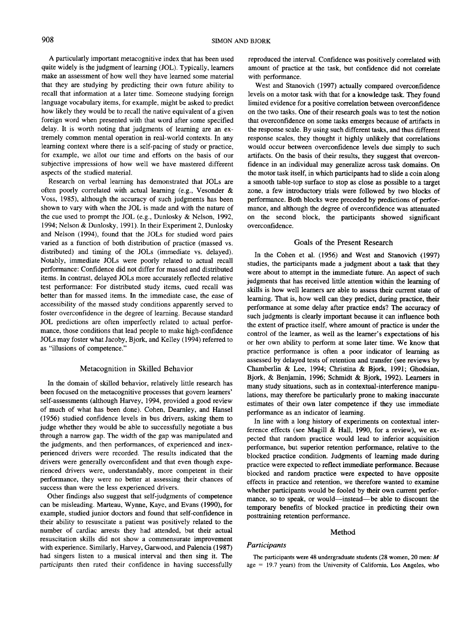A particularly important metacognitive index that has been used quite widely is the judgment of learning (JOL). Typically, learners make an assessment of how well they have learned some material that they are studying by predicting their own future ability to recall that information at a later time. Someone studying foreign language vocabulary items, for example, might be asked to predict how likely they would be to recall the native equivalent of a given foreign word when presented with that word after some specified delay. It is worth noting that judgments of learning are an extremely common mental operation in real-world contexts. In any learning context where there is a self-pacing of study or practice, for example, we allot our time and efforts on the basis of our subjective impressions of how well we have mastered different aspects of the studied material.

Research on verbal learning has demonstrated that JOLs are often poorly correlated with actual learning (e.g., Vesonder & Voss, 1985), although the accuracy of such judgments has been shown to vary with when the JOL is made and with the nature of the cue used to prompt the JOL (e.g., Dunlosky & Nelson, 1992, 1994; Nelson & Dunlosky, 1991). In their Experiment 2, Dunlosky and Nelson (1994), found that the JOLs for studied word pairs varied as a function of both distribution of practice (massed vs. distributed) and timing of the JOLs (immediate vs. delayed). Notably, immediate JOLs were poorly related to actual recall performance: Confidence did not differ for massed and distributed items. In contrast, delayed JOLs more accurately reflected relative test performance: For distributed study items, cued recall was better than for massed items. In the immediate case, the ease of accessibility of the massed study conditions apparently served to foster overconfidence in the degree of learning. Because standard JOL predictions are often imperfectly related to actual performance, those conditions that lead people to make high-confidence JOLs may foster what Jacoby, Bjork, and Kelley (1994) referred to as "illusions of competence."

#### Metacognition in Skilled Behavior

In the domain of skilled behavior, relatively little research has been focused on the metacognitive processes that govern learners' self-assessments (although Harvey, 1994, provided a good review of much of what has been done). Cohen, Dearnley, and Hansel (1956) studied confidence levels in bus drivers, asking them to judge whether they would be able to successfully negotiate a bus through a narrow gap. The width of the gap was manipulated and the judgments, and then performances, of experienced and inexperienced drivers were recorded. The results indicated that the drivers were generally overconfident and that even though experienced drivers were, understandably, more competent in their performance, they were no better at assessing their chances of success than were the less experienced drivers.

Other findings also suggest that self-judgments of competence can be misleading. Marteau, Wynne, Kaye, and Evans (1990), for example, studied junior doctors and found that self-confidence in their ability to resuscitate a patient was positively related to the number of cardiac arrests they had attended, but their actual resuscitation skills did not show a commensurate improvement with experience. Similarly, Harvey, Garwood, and Palencia (1987) had singers listen to a musical interval and then sing it. The participants then rated their confidence in having successfully reproduced the interval. Confidence was positively correlated with amount of practice at the task, but confidence did not correlate with performance.

West and Stanovich (1997) actually compared overconfidence levels on a motor task with that for a knowledge task. They found limited evidence for a positive correlation between overconfidence on the two tasks. One of their research goals was to test the notion that overconfidence on some tasks emerges because of artifacts in the response scale. By using such different tasks, and thus different response scales, they thought it highly unlikely that correlations would occur between overconfidence levels due simply to such artifacts. On the basis of their results, they suggest that overconfidence in an individual may generalize across task domains. On the motor task itself, in which participants had to slide a coin along a smooth table-top surface to stop as close as possible to a target zone, a few introductory trials were followed by two blocks of performance. Both blocks were preceded by predictions of performance, and although the degree of overconfidence was attenuated on the second block, the participants showed significant overconfidence.

## Goals of the Present Research

In the Cohen et al. (1956) and West and Stanovich (1997) studies, the participants made a judgment about a task that they were about to attempt in the immediate future. An aspect of such judgments that has received little attention within the learning of skills is how well learners are able to assess their current state of learning. That is, how well can they predict, during practice, their performance at some delay after practice ends? The accuracy of such judgments is clearly important because it can influence both the extent of practice itself, where amount of practice is under the control of the learner, as well as the learner's expectations of his or her own ability to perform at somelater time. We know that practice performance is often a poor indicator of learning as assessed by delayed tests of retention and transfer (see reviews by Chamberlin & Lee, 1994; Christina & Bjork, 1991; Ghodsian, Bjork, & Benjamin, 1996, Schmidt & Bjork, 1992). Learners in many study situations, such as in contextual-interference manipulations, may therefore be particularly prone to making inaccurate estimates of their own later competence if they use immediate performance as an indicator of learning.

In line with a long history of experiments on contextual interference effects (see Magill & Hall, 1990, for <sup>a</sup> review), we expected that random practice would lead to inferior acquisition performance, but superior retention performance, relative to the blocked practice condition. Judgments of learning made during practice were expected to reflect immediate performance. Because blocked and random practice were expected to have opposite effects in practice and retention, we therefore wanted to examine whether participants would be fooled by their own current performance, so to speak, or would—instead—be able to discount the temporary benefits of blocked practice in predicting their own posttraining retention performance.

### Method

## **Participants**

The participants were <sup>48</sup> undergraduate students (28 women, <sup>20</sup> men: M  $age = 19.7$  years) from the University of California, Los Angeles, who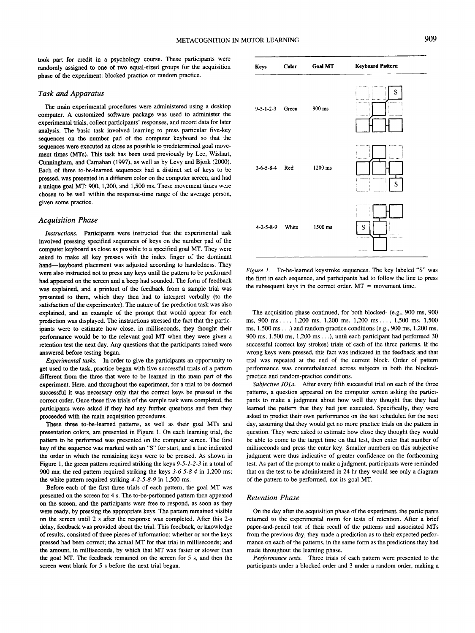took part for credit in a psychology course. These participants were randomly assigned to one of two equal-sized groups for the acquisition phase of the experiment: blocked practice or random practice.

#### Task and Apparatus

The main experimental procedures were administered using a desktop computer. A customized software package was used to administer the experimental trials, collect participants' responses, and record data for later analysis. The basic task involved learning to press particular five-key sequences on the number pad of the computer keyboard so that the sequences were executed as close as possible to predetermined goal movement times (MTs). This task has been used previously by Lee, Wishart, Cunningham, and Carnahan (1997), as well as by Levy and Bjork (2000). Each of three to-be-learned sequences had a distinct set of keys to be pressed, was presented in a different color on the computer screen, and had a unique goal MT: 900, 1,200, and 1,500 ms. These movement times were chosen to be well within the response-time range of the average person, given some practice.

# Acquisition Phase

Instructions. Participants were instructed that the experimental task involved pressing specified sequences of keys on the number pad of the computer keyboard as close as possible to a specified goal MT. They were asked to make all key presses with the index finger of the dominant hand—keyboard placement was adjusted according to handedness. They were also instructed not to press any keys until the pattern to be performed had appeared on the screen and a beep had sounded. The form of feedback was explained, and a printout of the feedback from a sample trial was presented to them, which they then had to interpret verbally (to the satisfaction of the experimenter). The nature of the prediction task was also explained, and an example of the prompt that would appear for each prediction was displayed. The instructions stressed the fact that the participants were to estimate how close, in milliseconds, they thought their performance would be to the relevant goal MT when they were given <sup>a</sup> retention test the next day. Any questions that the participants raised were answered before testing began.

Experimental tasks. In order to give the participants an opportunity to get used to the task, practice began with five successful trials of a pattern different from the three that were to be learned in the main part of the experiment. Here, and throughout the experiment, for a trial to be deemed successful it was necessary only that the correct keys be pressed in the correct order. Once these five trials of the sample task were completed, the participants were asked if they had any further questions and then they proceeded with the main acquisition procedures.

These three to-be-learned patterns, as well as their goal MTs and presentation colors, are presented in Figure 1. On each learning trial, the pattern to be performed was presented on the computer screen. The first key of the sequence was marked with an "S" for start, and a line indicated the order in which the remaining keys were to be pressed. As shown in Figure 1, the green pattern required striking the keys 9-5-J-2-3 in a total of 900 ms; the red pattern required striking the keys 3-6-5-8-4 in 1,200 ms; the white pattern required striking 4-2-5-8-9 in 1,500 ms.

Before each of the first three trials of each pattern, the goal MT was presented on the screen for 4 s. The to-be-performed pattern then appeared on the screen, and the participants were free to respond, as soon as they were ready, by pressing the appropriate keys. The pattern remained visible on the screen until 2 <sup>s</sup> after the response was completed. After this 2-s delay, feedback was provided about the trial. This feedback, or knowledge of results, consisted of three pieces of information: whether or not the keys pressed had been correct; the actual MT for that trial in milliseconds; and the amount, in milliseconds, by which that MT was faster or slower than the goal MT. The feedback remained on the screen for 5 s, and then the screen went blank for 5 <sup>s</sup> before the next trial began.



Figure 1. To-be-learned keystroke sequences. The key labeled "S" was the first in each sequence, and participants had to follow the line to press the subsequent keys in the correct order.  $MT =$  movement time.

The acquisition phase continued, for both blocked- (e.g., 900 ms, 900 ms, 900 ms..., 1,200 ms, 1,200 ms, 1,200 ms..., 1,500 ms, 1,500 ms, 1,500 ms. . .) and random-practice conditions (e.g., 900 ms, 1,200 ms, 900 ms, 1,500 ms, 1,200 ms... .), until each participant had performed 30 successful (correct key strokes) trials of each of the three patterns. If the wrong keys were pressed, this fact was indicated in the feedback and that trial was repeated at the end of the current block. Order of pattern performance was counterbalanced across subjects in both the blockedpractice and random-practice conditions.

Subjective JOLs. After every fifth successful trial on each of the three patterns, a question appeared on the computer screen asking the participants to make a judgment about how well they thought that they had learned the pattern that they had just executed. Specifically, they were asked to predict their own performance on the test scheduled for the next day, assuming that they would get no more practice trials on the pattern in question. They were asked to estimate how close they thought they would be able to come to the target time on that test, then enter that number of milliseconds and press the enter key. Smaller numbers on this subjective judgment were thus indicative of greater confidence on the forthcoming test. As part of the prompt to make a judgment, participants were reminded that on the test to be administered in 24 hr they would see only a diagram of the pattern to be performed, not its goal MT.

# Retention Phase

form as to their expected perform as the predictions they<br>form as the predictions they<br>the pattern were presented to<br>under a random order, maki Onthe day after the acquisition phase of the experiment, the participants returned to the experimental room for tests of retention. After a brief paper-and-pencil test of their recall of the patterns and associated MTs from the previous day, they made a prediction as to their expected performance on each of the patterns, in the same form as the predictions they had made throughout the learning phase.

Performance tests. Three trials of each pattern were presented to the participants under a blocked order and 3 under a random order, making a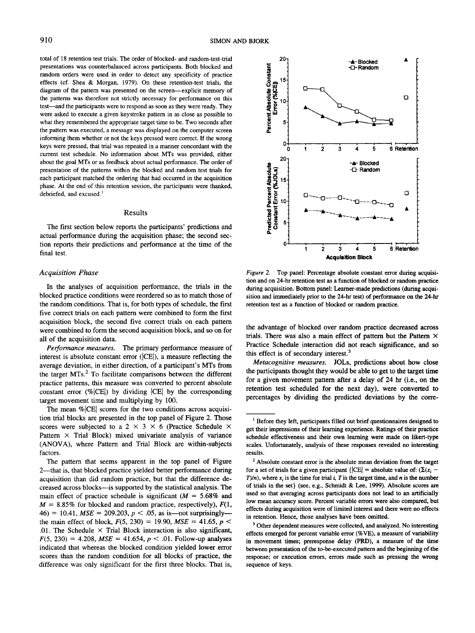total of 18 retention test trials. The order of blocked- and random-test-trial presentations was counterbalanced across participants. Both blocked and random orders were used in order to detect any specificity of practice effects (cf. Shea & Morgan, 1979). On these retention-test trials, the diagram of the pattern was presented on the screen—explicit memory of the patterns was therefore not strictly necessary for performance on this test—and the participants were to respond as soon as they were ready. They were asked to execute a given keystroke pattern in as close as possible to what they remembered the appropriate target time to be. Two seconds after the pattern was executed, a message was displayed on the computer screen informing them whether or not the keys pressed were correct. If the wrong keys were pressed, that trial was repeated in a manner concordant with the current test schedule. No information about MTs was provided, either about the goal MTs or as feedback about actual performance. The order of presentation of the patterns within the blocked and random test trials for each participant matched the ordering that had occurred in the acquisition phase. At the end of this retention session, the participants were thanked, debriefed, and excused.<sup>1</sup>

#### Results

The first section below reports the participants' predictions and actual performance during the acquisition phase; the second section reports their predictions and performanceat the time of the final test.

# Acquisition Phase

In the analyses of acquisition performance, the trials in the blocked practice conditions were reordered so as to match those of the random conditions. That is, for both types of schedule, the first five correct trials on each pattern were combined to form the first acquisition block, the second five correct trials on each pattern were combined to form the second acquisition block, and so on for all of the acquisition data.

Performance measures. The primary performance measure of interest is absolute constant error  $(|CE|)$ , a measure reflecting the average deviation, in either direction, of a participant's MTs from the target MTs.<sup>2</sup> To facilitate comparisons between the different practice patterns, this measure was converted to percent absolute constant error  $(\%|CE|)$  by dividing  $|CE|$  by the corresponding target movement time and multiplying by 100.

The mean %|CE| scores for the two conditions across acquisition trial blocks are presented in the top panel of Figure 2. Those scores were subjected to a 2  $\times$  3  $\times$  6 (Practice Schedule  $\times$ Pattern  $\times$  Trial Block) mixed univariate analysis of variance (ANOVA), where Pattern and Trial Block are within-subjects factors.

The pattern that seems apparent in the top panel of Figure 2—that is, that blocked practice yielded better performance during acquisition than did random practice, but that the difference decreased across blocks—is supported by the statistical analysis. The main effect of practice schedule is significant ( $M = 5.68\%$  and  $M = 8.85\%$  for blocked and random practice, respectively),  $F(1, 1)$  $46$ ) = 10.41,  $MSE = 209.203$ ,  $p < .05$ , as is—not surprisingly the main effect of block,  $F(5, 230) = 19.90$ ,  $MSE = 41.65$ ,  $p <$ .01. The Schedule  $\times$  Trial Block interaction is also significant,  $F(5, 230) = 4.208$ ,  $MSE = 41.654$ ,  $p < .01$ . Follow-up analyses indicated that whereas the blocked condition yielded lower error scores than the random condition for ali blocks of practice, the difference was only significant for the first three blocks. That is,



Figure 2. Top panel: Percentage absolute constant error during acquisition and on 24-hr retention test as a function of blocked or random practice during acquisition. Bottom panel: Learner-made predictions (during acquisition and immediately prior to the 24-hr test) of performance on the 24-hr retention test as a function of blocked or random practice.

the advantage of blocked over random practice decreased across trials. There was also a main effect of pattern but the Pattern  $\times$ Practice Schedule interaction did not reach significance, and so this effect is of secondary interest.<sup>3</sup>

Metacognitive measures. JOLs, predictions about how close the participants thought they would be able to get to the target time for a given movement pattern after a delay of 24 hr (i.e., on the retention test scheduled for the next day), were converted to percentages by dividing the predicted deviations by the corre-

<sup>&</sup>lt;sup>1</sup> Before they left, participants filled out brief questionnaires designed to get their impressions of their learning experience. Ratings of their practice schedule effectiveness and their own learning were made on likert-type scales. Unfortunately, analysis of these responses revealed no interesting results.

<sup>&</sup>lt;sup>2</sup> Absolute constant error is the absolute mean deviation from the target for a set of trials for a given participant { $|CE|$  = absolute value of:  $(\Sigma(x_i T(n)$ , where  $x_i$  is the time for trial i, T is the target time, and n is the number of trials in the set} (see, e.g., Schmidt & Lee, 1999). Absolute scores are used so that averaging across participants does not lead to an artificially low mean accuracy score. Percent variable errors were also compared, but effects during acquisition were of limited interest and there were no effects in retention. Hence, those analyses have been omitted.

<sup>&</sup>lt;sup>3</sup> Other dependent measures were collected, and analyzed. No interesting effects emerged for percent variable error (%VE), a measure of variability in movement times; preresponse delay (PRD), a measure of the time between presentation of the to-be-executed pattern and the beginning of the response; or execution errors, errors made such as pressing the wrong sequence of keys.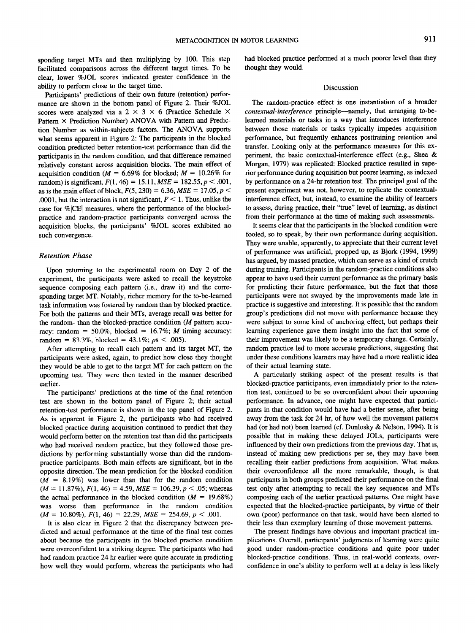sponding target MTs and then multiplying by 100. This step facilitated comparisons across the different target times. To be clear, lower %JOL scores indicated greater confidence in the ability to perform close to the target time.

Participants' predictions of their own future (retention) performance are shown in the bottom panel of Figure 2. Their %JOL scores were analyzed via a 2  $\times$  3  $\times$  6 (Practice Schedule  $\times$ Pattern  $\times$  Prediction Number) ANOVA with Pattern and Prediction Number as within-subjects factors. The ANOVA supports what seems apparent in Figure 2: The participants in the blocked condition predicted better retention-test performance than did the participants in the random condition, and that difference remained relatively constant across acquisition blocks. The main effect of acquisition condition ( $M = 6.69\%$  for blocked;  $M = 10.26\%$  for random) is significant,  $F(1, 46) = 15.11$ ,  $MSE = 182.55$ ,  $p < .001$ , as is the main effect of block,  $F(5, 230) = 6.36$ ,  $MSE = 17.05$ ,  $p <$ .0001, but the interaction is not significant,  $F < 1$ . Thus, unlike the case for  $%|CE|$  measures, where the performance of the blockedpractice and random-practice participants converged across the acquisition blocks, the participants' %JOL scores exhibited no such convergence.

# Retention Phase

Upon returning to the experimental room on Day 2 of the experiment, the participants were asked to recall the keystroke sequence composing each pattern (i.e., draw it) and the corresponding target MT. Notably, richer memory for the to-be-learned task information was fostered by random than by blocked practice. For both the patterns and their MTs, average recall was better for the random- than the blocked-practice condition (M pattern accuracy: random = 50.0%, blocked = 16.7%; M timing accuracy: random = 83.3%, blocked = 43.1%;  $ps < .005$ ).

After attempting to recall each pattern and its target MT, the participants were asked, again, to predict how close they thought they would be able to get to the target MT for each pattern on the upcoming test. They were then tested in the manner described earlier.

The participants' predictions at the time of the final retention test are shown in the bottom panel of Figure 2; their actual retention-test performance is shown in the top panel of Figure 2. As is apparent in Figure 2, the participants who had received blocked practice during acquisition continued to predict that they would perform better on the retention test than did the participants who had received random practice, but they followed those predictions by performing substantially worse than did the randompractice participants. Both main effects are significant, but in the opposite direction. The mean prediction for the blocked condition  $(M = 8.19\%)$  was lower than that for the random condition  $(M = 11.87\%)$ ,  $F(1, 46) = 4.59$ ,  $MSE = 106.39$ ,  $p < .05$ ; whereas the actual performance in the blocked condition ( $M = 19.68\%$ ) was worse than performance in the random condition  $(M = 10.80\%), F(1, 46) = 22.29, MSE = 254.69, p < .001.$ 

It is also clear in Figure 2 that the discrepancy between predicted and actual performance at the time of the final test comes about because the participants in the blocked practice condition were overconfident to a striking degree. The participants who had had random practice 24 hr earlier were quite accurate in predicting how well they would perform, whereas the participants who had had blocked practice performed at a much poorer level than they thought they would.

#### Discussion

The random-practice effect is one instantiation of a broader contextual-interference principle—namely, that arranging to-belearned materials or tasks in a way that introduces interference between those materials or tasks typically impedes acquisition performance, but frequently enhances posttraining retention and transfer. Looking only at the performance measures for this experiment, the basic contextual-interference effect (e.g., Shea & Morgan, 1979) was replicated: Blocked practice resulted in superior performance during acquisition but poorer learning, as indexed by performance on a 24-hr retention test. The principal goal of the present experiment was not, however, to replicate the contextualinterference effect, but, instead, to examine the ability of learners to assess, during practice, their "true" level of learning, as distinct from their performance at the time of making such assessments.

It seems clear that the participants in the blocked condition were fooled, so to speak, by their own performance during acquisition. They were unable, apparently, to appreciate that their current level of performance was artificial, propped up, as Bjork (1994, 1999) has argued, by massed practice, which can serve as a kind of crutch during training. Participants in the random-practice conditions also appear to have used their current performance as the primary basis for predicting their future performance, but the fact that those participants were not swayed by the improvements made late in practice is suggestive and interesting.It is possible that the random group's predictions did not move with performance because they were subject to some kind of anchoring effect, but perhaps their learning experience gave them insight into the fact that some of their improvement was likely to be a temporary change. Certainly, random practice led to more accurate predictions, suggesting that under these conditions learners may have had a more realistic idea of their actual learning state.

A particularly striking aspect of the present results is that blocked-practice participants, even immediately prior to the retention test, continued to be so overconfident about their upcoming performance. In advance, one might have expected that participants in that condition would have had a better sense, after being away from the task for 24 hr, of how well the movement patterns had (or had not) been learned (cf. Dunlosky & Nelson, 1994). It is possible that in making these delayed JOLs, participants were influenced by their own predictions from the previous day. That is, instead of making new predictions per se, they may have been recalling their earlier predictions from acquisition. What makes their overconfidence all the more remarkable, though, is that participants in both groups predicted their performance on the final test only after attempting to recall the key sequences and MTs composing each of the earlier practiced patterns. One might have expected that the blocked-practice participants, by virtue of their own (poor) performance on that task, would have been alerted to their less than exemplary learning of those movement patterns.

The present findings have obvious and important practical implications. Overall, participants' judgments of learning were quite good under random-practice conditions and quite poor under blocked-practice conditions. Thus, in real-world contexts, overconfidence in one's ability to perform well at a delay is less likely